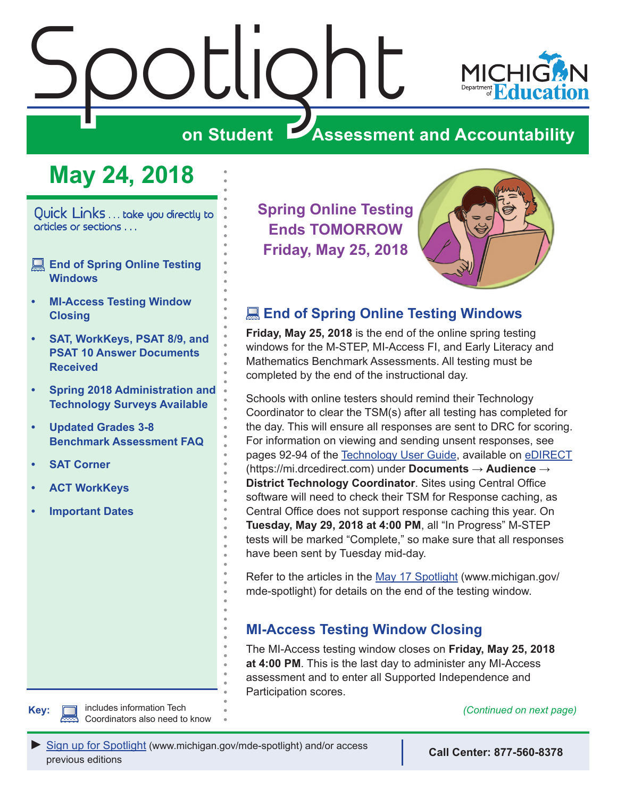# <span id="page-0-0"></span> $\sum_{i=1}^n\left|\frac{1}{i}\right|$



**on Student Assessment and Accountability**

# **May 24, 2018**

Quick Links . . . take you directly to articles or sections . . .

- **End of Spring Online Testing Windows**
- **• MI-Access Testing Window Closing**
- **• [SAT, WorkKeys, PSAT 8/9, and](#page-2-0)  [PSAT 10 Answer Documents](#page-2-0)  [Received](#page-2-0)**
- **• [Spring 2018 Administration and](#page-3-0)  [Technology Surveys Available](#page-3-0)**
- **• [Updated Grades 3-8](#page-3-0)  [Benchmark Assessment FAQ](#page-3-0)**
- **• [SAT Corner](#page-5-0)**
- **• [ACT WorkKeys](#page-6-0)**
- **• [Important Dates](#page-7-0)**

**Spring Online Testing Ends TOMORROW Friday, May 25, 2018**



# **End of Spring Online Testing Windows**

**Friday, May 25, 2018** is the end of the online spring testing windows for the M-STEP, MI-Access FI, and Early Literacy and Mathematics Benchmark Assessments. All testing must be completed by the end of the instructional day.

Schools with online testers should remind their Technology Coordinator to clear the TSM(s) after all testing has completed for the day. This will ensure all responses are sent to DRC for scoring. For information on viewing and sending unsent responses, see pages 92-94 of the [Technology User Guide](https://mi.drcedirect.com/Documents/Unsecure/Doc.aspx?id=55d58174-7326-440a-97d1-9ce887b33e2a), available on [eDIRECT](https://mi.drcedirect.com) (https://mi.drcedirect.com) under **Documents** → **Audience** → **District Technology Coordinator**. Sites using Central Office software will need to check their TSM for Response caching, as Central Office does not support response caching this year. On **Tuesday, May 29, 2018 at 4:00 PM**, all "In Progress" M-STEP tests will be marked "Complete," so make sure that all responses have been sent by Tuesday mid-day.

Refer to the articles in the [May 17 Spotlight](https://www.michigan.gov/documents/mde/Spotlight_5-17-18_623352_7.pdf) (www.michigan.gov/ mde-spotlight) for details on the end of the testing window.

## **MI-Access Testing Window Closing**

The MI-Access testing window closes on **Friday, May 25, 2018 at 4:00 PM**. This is the last day to administer any MI-Access assessment and to enter all Supported Independence and Participation scores.

**Key:** *(Continued on next page)* includes information Tech

[Sign up for Spotlight](https://public.govdelivery.com/accounts/MIMDE/subscriber/new) [\(www.michigan.gov/mde](www.michigan.gov/mde-spotlight)-spotlight) and/or access previous editions **Call Center: 877-560-8378**

Coordinators also need to know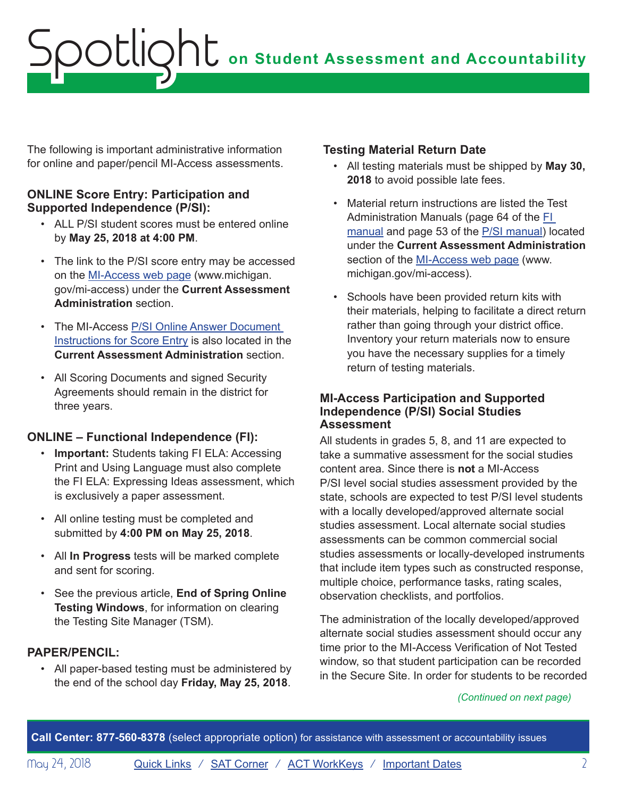The following is important administrative information for online and paper/pencil MI-Access assessments.

#### **ONLINE Score Entry: Participation and Supported Independence (P/SI):**

- ALL P/SI student scores must be entered online by **May 25, 2018 at 4:00 PM**.
- The link to the P/SI score entry may be accessed on the [MI-Access web page](http://www.michigan.gov/mi-access) (www.michigan. gov/mi-access) under the **Current Assessment Administration** section.
- The MI-Access [P/SI Online Answer Document](https://www.michigan.gov/documents/mde/P-SI_Online_Answer_Document_-_Instructions_522454_7.pdf)  [Instructions for Score Entry](https://www.michigan.gov/documents/mde/P-SI_Online_Answer_Document_-_Instructions_522454_7.pdf) is also located in the **Current Assessment Administration** section.
- All Scoring Documents and signed Security Agreements should remain in the district for three years.

## **ONLINE – Functional Independence (FI):**

- **Important:** Students taking FI ELA: Accessing Print and Using Language must also complete the FI ELA: Expressing Ideas assessment, which is exclusively a paper assessment.
- All online testing must be completed and submitted by **4:00 PM on May 25, 2018**.
- All **In Progress** tests will be marked complete and sent for scoring.
- See the previous article, **End of Spring Online Testing Windows**, for information on clearing the Testing Site Manager (TSM).

#### **PAPER/PENCIL:**

• All paper-based testing must be administered by the end of the school day **Friday, May 25, 2018**.

#### **Testing Material Return Date**

- All testing materials must be shipped by **May 30, 2018** to avoid possible late fees.
- Material return instructions are listed the Test Administration Manuals (page 64 of the [FI](https://www.michigan.gov/documents/mde/S18_MI-Access_FI_TAM_-_Final_616623_7.pdf)  [manual](https://www.michigan.gov/documents/mde/S18_MI-Access_FI_TAM_-_Final_616623_7.pdf) and page 53 of the [P/SI manual](https://www.michigan.gov/documents/mde/S18_MI-Access_P-SI_TAM-Final_616659_7.pdf)) located under the **Current Assessment Administration** section of the [MI-Access web page](http://www.michigan.gov/mi-access) (www. michigan.gov/mi-access).
- Schools have been provided return kits with their materials, helping to facilitate a direct return rather than going through your district office. Inventory your return materials now to ensure you have the necessary supplies for a timely return of testing materials.

#### **MI-Access Participation and Supported Independence (P/SI) Social Studies Assessment**

All students in grades 5, 8, and 11 are expected to take a summative assessment for the social studies content area. Since there is **not** a MI-Access P/SI level social studies assessment provided by the state, schools are expected to test P/SI level students with a locally developed/approved alternate social studies assessment. Local alternate social studies assessments can be common commercial social studies assessments or locally-developed instruments that include item types such as constructed response, multiple choice, performance tasks, rating scales, observation checklists, and portfolios.

The administration of the locally developed/approved alternate social studies assessment should occur any time prior to the MI-Access Verification of Not Tested window, so that student participation can be recorded in the Secure Site. In order for students to be recorded

*(Continued on next page)*

**Call Center: 877-560-8378** (select appropriate option) for assistance with assessment or accountability issues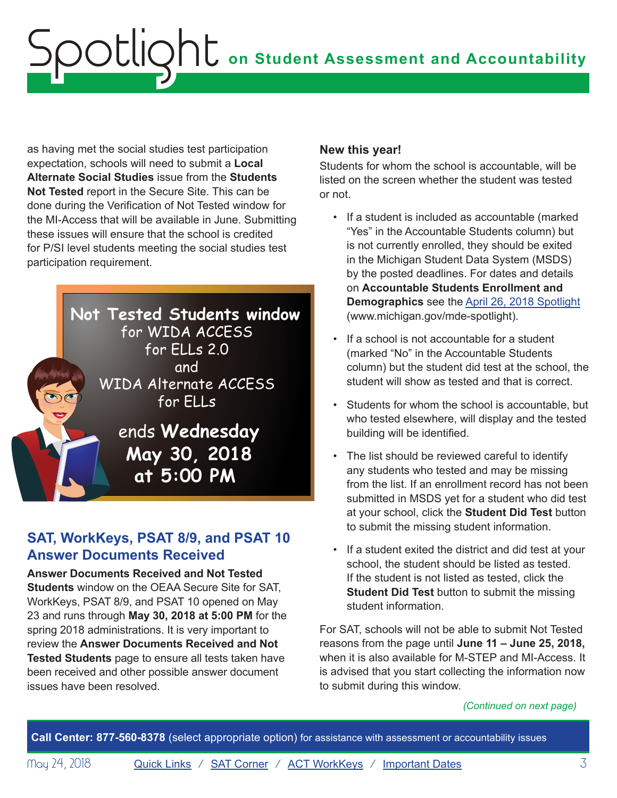<span id="page-2-0"></span>as having met the social studies test participation expectation, schools will need to submit a **Local Alternate Social Studies** issue from the **Students Not Tested** report in the Secure Site. This can be done during the Verification of Not Tested window for the MI-Access that will be available in June. Submitting these issues will ensure that the school is credited for P/SI level students meeting the social studies test participation requirement.



# <span id="page-2-1"></span>**SAT, WorkKeys, PSAT 8/9, and PSAT 10 Answer Documents Received**

**Answer Documents Received and Not Tested Students** window on the OEAA Secure Site for SAT, WorkKeys, PSAT 8/9, and PSAT 10 opened on May 23 and runs through **May 30, 2018 at 5:00 PM** for the spring 2018 administrations. It is very important to review the **Answer Documents Received and Not Tested Students** page to ensure all tests taken have been received and other possible answer document issues have been resolved.

#### **New this year!**

Students for whom the school is accountable, will be listed on the screen whether the student was tested or not.

- If a student is included as accountable (marked "Yes" in the Accountable Students column) but is not currently enrolled, they should be exited in the Michigan Student Data System (MSDS) by the posted deadlines. For dates and details on **Accountable Students Enrollment and Demographics** see the [April 26, 2018 Spotlight](https://www.michigan.gov/documents/mde/Spotlight_4-26-18_621546_7.pdf) (www.michigan.gov/mde-spotlight).
- If a school is not accountable for a student (marked "No" in the Accountable Students column) but the student did test at the school, the student will show as tested and that is correct.
- Students for whom the school is accountable, but who tested elsewhere, will display and the tested building will be identified.
- The list should be reviewed careful to identify any students who tested and may be missing from the list. If an enrollment record has not been submitted in MSDS yet for a student who did test at your school, click the **Student Did Test** button to submit the missing student information.
- If a student exited the district and did test at your school, the student should be listed as tested. If the student is not listed as tested, click the **Student Did Test** button to submit the missing student information.

For SAT, schools will not be able to submit Not Tested reasons from the page until **June 11 – June 25, 2018,**  when it is also available for M-STEP and MI-Access. It is advised that you start collecting the information now to submit during this window.

#### *(Continued on next page)*

**Call Center: 877-560-8378** (select appropriate option) for assistance with assessment or accountability issues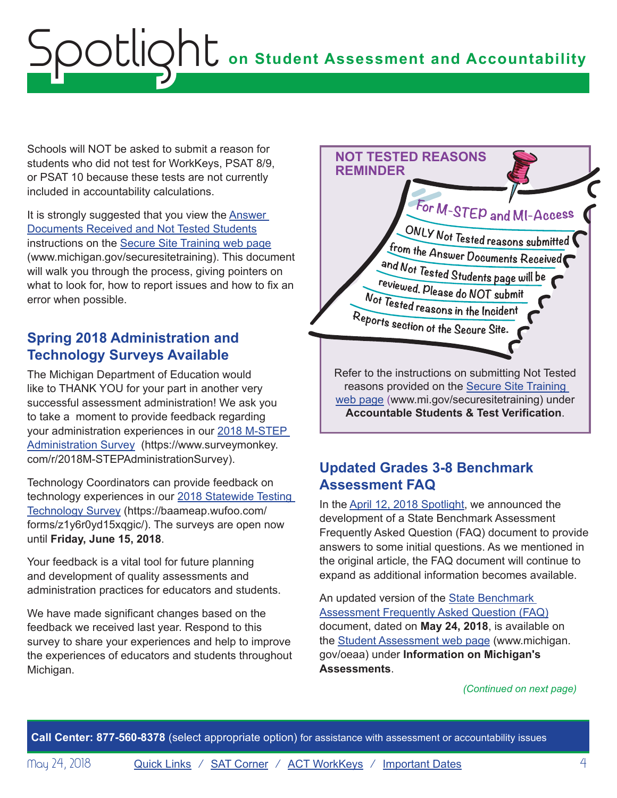<span id="page-3-0"></span>Schools will NOT be asked to submit a reason for students who did not test for WorkKeys, PSAT 8/9, or PSAT 10 because these tests are not currently included in accountability calculations.

It is strongly suggested that you view the [Answer](https://www.michigan.gov/documents/mde/Answer_Documents_Received_and_Not_Tested_Students_instructions_623116_7.pdf)  [Documents Received and Not Tested Students](https://www.michigan.gov/documents/mde/Answer_Documents_Received_and_Not_Tested_Students_instructions_623116_7.pdf) instructions on the [Secure Site Training web page](http://www.michigan.gov/securesitetraining) (www.michigan.gov/securesitetraining). This document will walk you through the process, giving pointers on what to look for, how to report issues and how to fix an error when possible.

# **Spring 2018 Administration and Technology Surveys Available**

The Michigan Department of Education would like to THANK YOU for your part in another very successful assessment administration! We ask you to take a moment to provide feedback regarding your administration experiences in our [2018 M-STEP](https://www.surveymonkey.com/r/2018M-STEPAdministrationSurvey)  [Administration Survey](https://www.surveymonkey.com/r/2018M-STEPAdministrationSurvey) (https://www.surveymonkey. com/r/2018M-STEPAdministrationSurvey).

Technology Coordinators can provide feedback on technology experiences in our [2018 Statewide Testing](https://baameap.wufoo.com/forms/z1y6r0yd15xqgic/)  [Technology Survey](https://baameap.wufoo.com/forms/z1y6r0yd15xqgic/) (https://baameap.wufoo.com/ forms/z1y6r0yd15xqgic/). The surveys are open now until **Friday, June 15, 2018**.

Your feedback is a vital tool for future planning and development of quality assessments and administration practices for educators and students.

We have made significant changes based on the feedback we received last year. Respond to this survey to share your experiences and help to improve the experiences of educators and students throughout Michigan.



# **Updated Grades 3-8 Benchmark Assessment FAQ**

In the [April 12, 2018 Spotlight,](https://www.michigan.gov/documents/mde/Spotlight_4-12-18_620458_7.pdf) we announced the development of a State Benchmark Assessment Frequently Asked Question (FAQ) document to provide answers to some initial questions. As we mentioned in the original article, the FAQ document will continue to expand as additional information becomes available.

An updated version of the State Benchmark Assessment Frequently Asked Question (FAQ) document, dated on **May 24, 2018**, is available on the [Student Assessment web page](http://www.michigan.gov/oeaa) (www.michigan. gov/oeaa) under **Information on Michigan's Assessments**.

*(Continued on next page)*

**Call Center: 877-560-8378** (select appropriate option) for assistance with assessment or accountability issues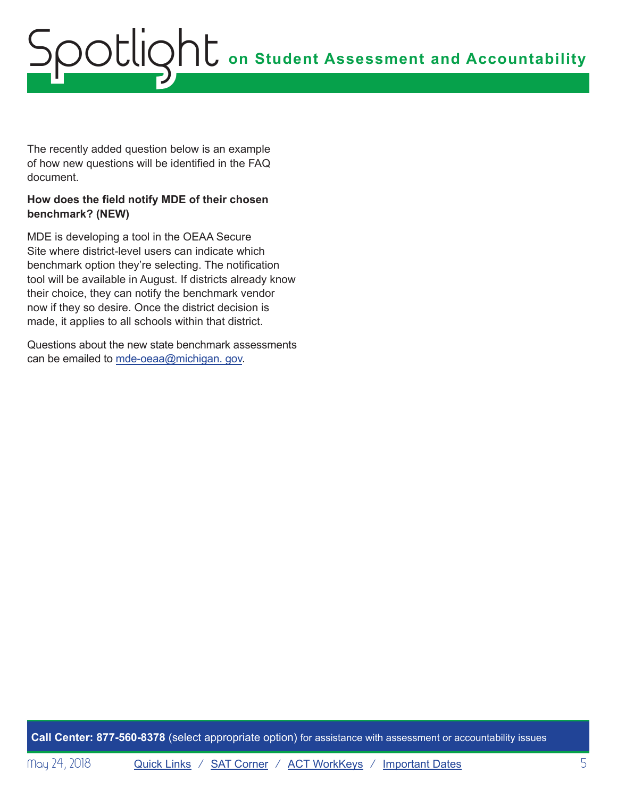The recently added question below is an example of how new questions will be identified in the FAQ document.

#### **How does the field notify MDE of their chosen benchmark? (NEW)**

MDE is developing a tool in the OEAA Secure Site where district-level users can indicate which benchmark option they're selecting. The notification tool will be available in August. If districts already know their choice, they can notify the benchmark vendor now if they so desire. Once the district decision is made, it applies to all schools within that district.

Questions about the new state benchmark assessments can be emailed to [mde-oeaa@michigan. gov](mailto:mde-oeaa%40michigan.%20gov?subject=).

**Call Center: 877-560-8378** (select appropriate option) for assistance with assessment or accountability issues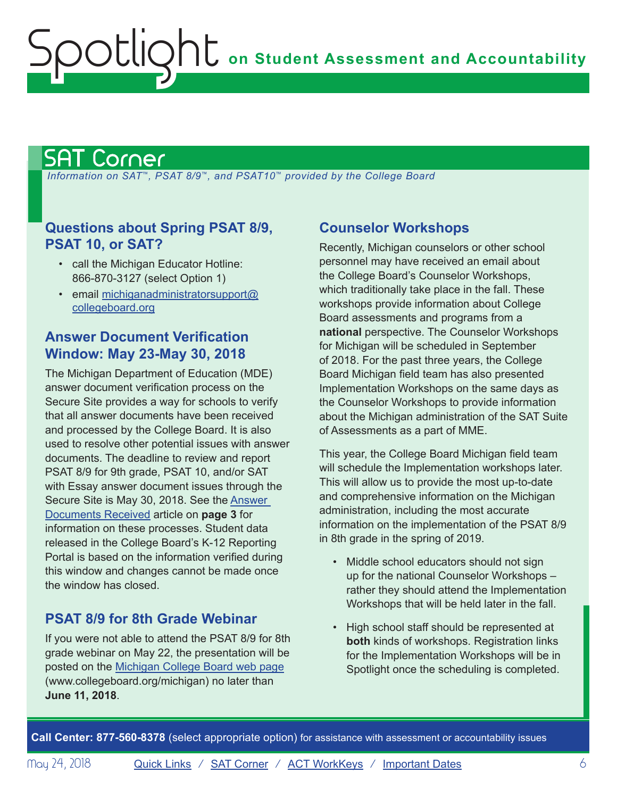# <span id="page-5-1"></span>SAT Corner

<span id="page-5-0"></span>Spotlight

 *Information on SAT*™*, PSAT 8/9*™*, and PSAT10*™ *provided by the College Board*

## **Questions about Spring PSAT 8/9, PSAT 10, or SAT?**

- call the Michigan Educator Hotline: 866-870-3127 (select Option 1)
- email [michiganadministratorsupport@](mailto:michiganadministratorsupport%40collegeboard.org?subject=) [collegeboard.org](mailto:michiganadministratorsupport%40collegeboard.org?subject=)

## **Answer Document Verification Window: May 23-May 30, 2018**

The Michigan Department of Education (MDE) answer document verification process on the Secure Site provides a way for schools to verify that all answer documents have been received and processed by the College Board. It is also used to resolve other potential issues with answer documents. The deadline to review and report PSAT 8/9 for 9th grade, PSAT 10, and/or SAT with Essay answer document issues through the Secure Site is May 30, 2018. See the **Answer** [Documents Received](#page-2-1) article on **page 3** for information on these processes. Student data released in the College Board's K-12 Reporting Portal is based on the information verified during this window and changes cannot be made once the window has closed.

## **PSAT 8/9 for 8th Grade Webinar**

If you were not able to attend the PSAT 8/9 for 8th grade webinar on May 22, the presentation will be posted on the [Michigan College Board web page](http://www.collegeboard.org/michigan) (www.collegeboard.org/michigan) no later than **June 11, 2018**.

## **Counselor Workshops**

Recently, Michigan counselors or other school personnel may have received an email about the College Board's Counselor Workshops, which traditionally take place in the fall. These workshops provide information about College Board assessments and programs from a **national** perspective. The Counselor Workshops for Michigan will be scheduled in September of 2018. For the past three years, the College Board Michigan field team has also presented Implementation Workshops on the same days as the Counselor Workshops to provide information about the Michigan administration of the SAT Suite of Assessments as a part of MME.

This year, the College Board Michigan field team will schedule the Implementation workshops later. This will allow us to provide the most up-to-date and comprehensive information on the Michigan administration, including the most accurate information on the implementation of the PSAT 8/9 in 8th grade in the spring of 2019.

- Middle school educators should not sign up for the national Counselor Workshops – rather they should attend the Implementation Workshops that will be held later in the fall.
- High school staff should be represented at **both** kinds of workshops. Registration links for the Implementation Workshops will be in Spotlight once the scheduling is completed.

**Call Center: 877-560-8378** (select appropriate option) for assistance with assessment or accountability issues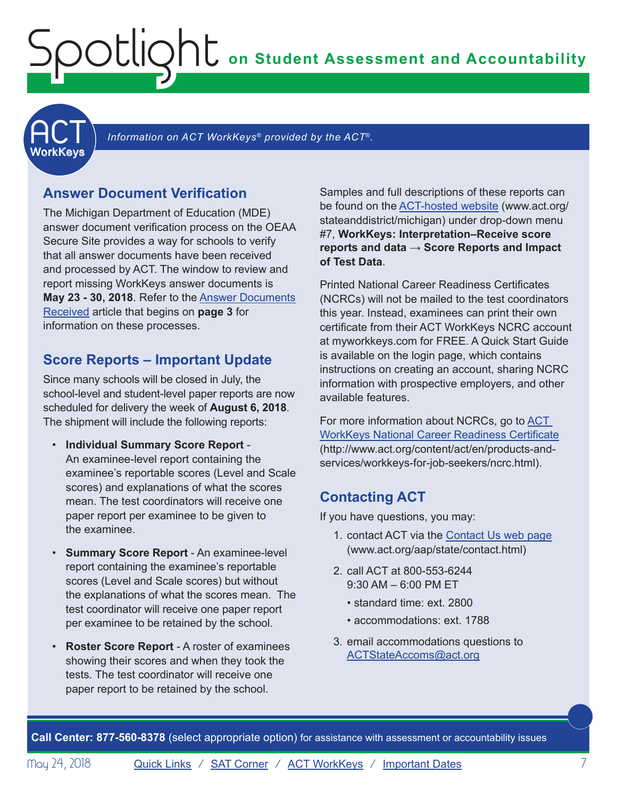**on Student Assessment and Accountability**

<span id="page-6-1"></span>

Information on ACT WorkKeys<sup>®</sup> provided by the ACT<sup>®</sup>.

#### **Answer Document Verification**

<span id="page-6-0"></span>Spotlight

The Michigan Department of Education (MDE) answer document verification process on the OEAA Secure Site provides a way for schools to verify that all answer documents have been received and processed by ACT. The window to review and report missing WorkKeys answer documents is **May 23 - 30, 2018**. Refer to the [Answer Documents](#page-2-1)  [Received](#page-2-1) article that begins on **page 3** for information on these processes.

#### **Score Reports – Important Update**

Since many schools will be closed in July, the school-level and student-level paper reports are now scheduled for delivery the week of **August 6, 2018**. The shipment will include the following reports:

- **Individual Summary Score Report** An examinee-level report containing the examinee's reportable scores (Level and Scale scores) and explanations of what the scores mean. The test coordinators will receive one paper report per examinee to be given to the examinee.
- **Summary Score Report** An examinee-level report containing the examinee's reportable scores (Level and Scale scores) but without the explanations of what the scores mean. The test coordinator will receive one paper report per examinee to be retained by the school.
- **Roster Score Report** A roster of examinees showing their scores and when they took the tests. The test coordinator will receive one paper report to be retained by the school.

Samples and full descriptions of these reports can be found on the [ACT-hosted website](http://www.act.org/stateanddistrict/michigan) (www.act.org/ stateanddistrict/michigan) under drop-down menu #7, **WorkKeys: Interpretation–Receive score reports and data → Score Reports and Impact of Test Data**.

Printed National Career Readiness Certificates (NCRCs) will not be mailed to the test coordinators this year. Instead, examinees can print their own certificate from their ACT WorkKeys NCRC account at myworkkeys.com for FREE. A Quick Start Guide is available on the login page, which contains instructions on creating an account, sharing NCRC information with prospective employers, and other available features.

For more information about NCRCs, go to ACT [WorkKeys National Career Readiness Certificate](http://www.act.org/content/act/en/products-and-services/workkeys-for-job-seekers/ncrc.html) (http://www.act.org/content/act/en/products-andservices/workkeys-for-job-seekers/ncrc.html).

## **Contacting ACT**

If you have questions, you may:

- 1. contact ACT via the [Contact Us web page](http://www.act.org/aap/state/contact.html) [\(www.act.org/aap/state/contact.html\)](www.act.org/aap/state/contact.html)
- 2. call ACT at 800-553-6244 9:30 AM – 6:00 PM ET
	- standard time: ext. 2800
	- accommodations: ext. 1788
- 3. email accommodations questions to [ACTStateAccoms@act.org](mailto:ACTStateAccoms%40act.org?subject=)

**Call Center: 877-560-8378** (select appropriate option) for assistance with assessment or accountability issues